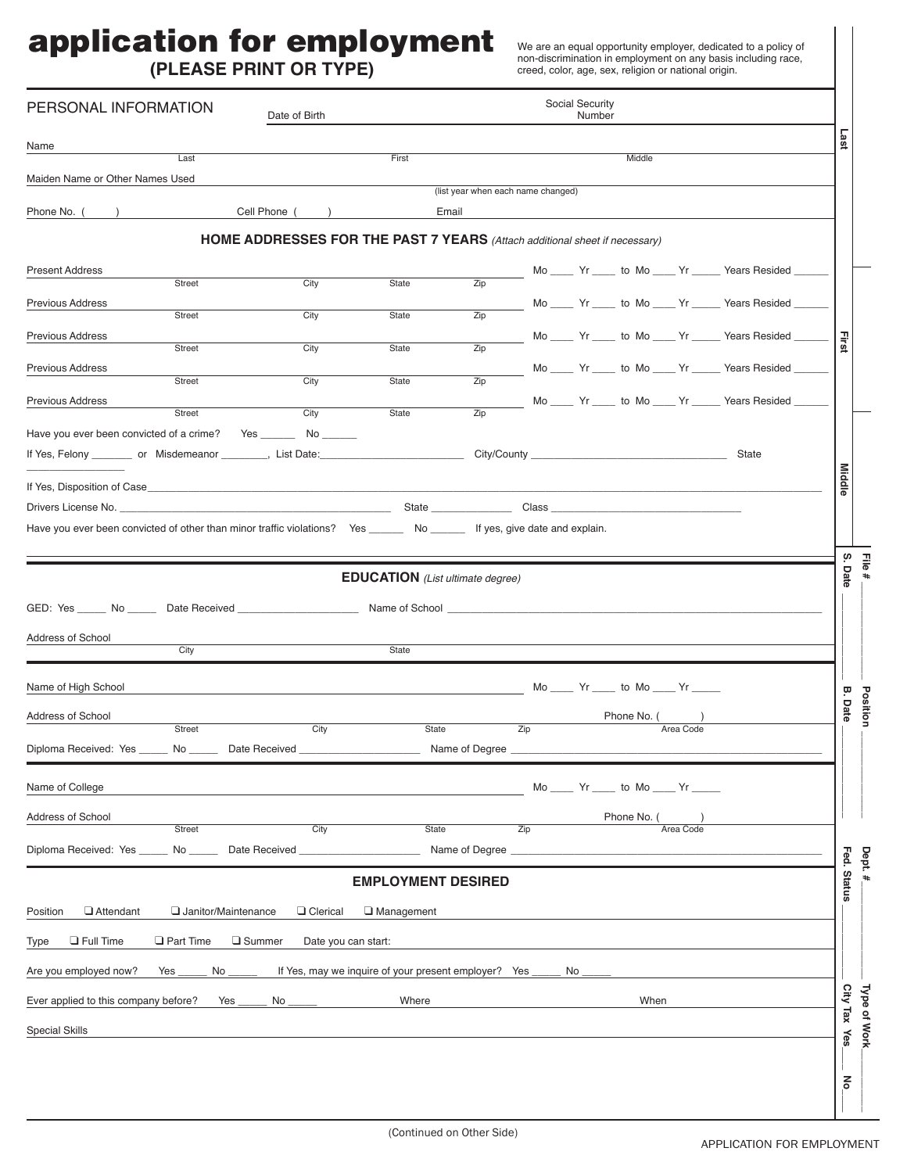## application for employment

**(PLEASE PRINT OR TYPE)**

We are an equal opportunity employer, dedicated to a policy of non-discrimination in employment on any basis including race, creed, color, age, sex, religion or national origin.

| PERSONAL INFORMATION                                                                                                                                                                                                           | Social Security<br>Date of Birth<br>Number                                        |                                                      |                                             |                  |    |                                       |           |                                                         |               |              |
|--------------------------------------------------------------------------------------------------------------------------------------------------------------------------------------------------------------------------------|-----------------------------------------------------------------------------------|------------------------------------------------------|---------------------------------------------|------------------|----|---------------------------------------|-----------|---------------------------------------------------------|---------------|--------------|
| Name                                                                                                                                                                                                                           |                                                                                   |                                                      |                                             |                  |    |                                       |           |                                                         | Last          |              |
| Last<br>Maiden Name or Other Names Used                                                                                                                                                                                        |                                                                                   | First                                                |                                             |                  |    | Middle                                |           |                                                         |               |              |
| Phone No. (                                                                                                                                                                                                                    | Cell Phone (                                                                      |                                                      | (list year when each name changed)<br>Email |                  |    |                                       |           |                                                         |               |              |
|                                                                                                                                                                                                                                |                                                                                   |                                                      |                                             |                  |    |                                       |           |                                                         |               |              |
|                                                                                                                                                                                                                                | <b>HOME ADDRESSES FOR THE PAST 7 YEARS</b> (Attach additional sheet if necessary) |                                                      |                                             |                  |    |                                       |           |                                                         |               |              |
| <b>Present Address</b><br>Street                                                                                                                                                                                               | City                                                                              | <b>State</b>                                         | $\overline{Zip}$                            |                  |    |                                       |           | Mo _____ Yr _____ to Mo ____ Yr _____ Years Resided _   |               |              |
| <b>Previous Address</b><br>Street                                                                                                                                                                                              | $\overline{City}$                                                                 | <b>State</b>                                         | $\overline{Zip}$                            |                  |    |                                       |           | Mo _____ Yr _____ to Mo ____ Yr _____ Years Resided     |               |              |
| Previous Address                                                                                                                                                                                                               |                                                                                   |                                                      |                                             |                  |    |                                       |           | Mo ____ Yr ____ to Mo ____ Yr _____ Years Resided _     |               |              |
| Street                                                                                                                                                                                                                         | City                                                                              | State                                                | $\overline{Z}$ ip                           |                  |    |                                       |           |                                                         | <b>First</b>  |              |
| Previous Address<br>Street                                                                                                                                                                                                     | City                                                                              | <b>State</b>                                         | $\overline{Z}$ ip                           |                  |    |                                       |           | Mo _____ Yr _____ to Mo ____ Yr _____ Years Resided _   |               |              |
| <b>Previous Address</b><br>Street                                                                                                                                                                                              | City                                                                              | <b>State</b>                                         | $\overline{Z}$ ip                           |                  |    |                                       |           | Mo _____ Yr _____ to Mo ____ Yr _____ Years Resided ___ |               |              |
| Have you ever been convicted of a crime? Yes                                                                                                                                                                                   | No _______                                                                        |                                                      |                                             |                  |    |                                       |           |                                                         |               |              |
|                                                                                                                                                                                                                                |                                                                                   |                                                      |                                             |                  |    |                                       |           | State                                                   |               |              |
| If Yes, Disposition of Case and the control of the control of the control of the control of the control of the control of the control of the control of the control of the control of the control of the control of the contro |                                                                                   |                                                      |                                             |                  |    |                                       |           |                                                         | <b>Middle</b> |              |
|                                                                                                                                                                                                                                |                                                                                   |                                                      |                                             |                  |    |                                       |           |                                                         |               |              |
| Have you ever been convicted of other than minor traffic violations? Yes _________ No _________ If yes, give date and explain.                                                                                                 |                                                                                   |                                                      |                                             |                  |    |                                       |           |                                                         |               |              |
|                                                                                                                                                                                                                                |                                                                                   |                                                      |                                             |                  |    |                                       |           |                                                         | ίù.           |              |
|                                                                                                                                                                                                                                |                                                                                   | <b>EDUCATION</b> (List ultimate degree)              |                                             |                  |    |                                       |           |                                                         | Date          | File#        |
|                                                                                                                                                                                                                                |                                                                                   | Name of School <b>example and the School</b>         |                                             |                  |    |                                       |           |                                                         |               |              |
|                                                                                                                                                                                                                                |                                                                                   |                                                      |                                             |                  |    |                                       |           |                                                         |               |              |
| Address of School<br>City                                                                                                                                                                                                      |                                                                                   | State                                                |                                             |                  |    |                                       |           |                                                         |               |              |
|                                                                                                                                                                                                                                |                                                                                   |                                                      |                                             |                  |    |                                       |           |                                                         |               |              |
| Name of High School                                                                                                                                                                                                            |                                                                                   |                                                      |                                             |                  |    | Mo _____ Yr _____ to Mo ____ Yr _____ |           |                                                         | ā             | Position     |
| Address of School<br>Street                                                                                                                                                                                                    | City                                                                              | State                                                |                                             | Zip              |    | Phone No. (                           | Area Code |                                                         | Date          |              |
| Diploma Received: Yes<br>No.                                                                                                                                                                                                   | Date Received                                                                     |                                                      | Name of Degree                              |                  |    |                                       |           |                                                         |               |              |
|                                                                                                                                                                                                                                |                                                                                   |                                                      |                                             |                  |    |                                       |           |                                                         |               |              |
| Name of College                                                                                                                                                                                                                |                                                                                   |                                                      |                                             |                  |    | $Mo$ $Yr$ to $Mo$ $Yr$                |           |                                                         |               |              |
| Address of School<br><b>Street</b>                                                                                                                                                                                             | City                                                                              | <b>State</b>                                         |                                             | $\overline{Zip}$ |    | Phone No.                             | Area Code |                                                         |               |              |
| Diploma Received: Yes                                                                                                                                                                                                          | Date Received                                                                     |                                                      | Name of Degree                              |                  |    |                                       |           |                                                         |               |              |
|                                                                                                                                                                                                                                |                                                                                   |                                                      |                                             |                  |    |                                       |           |                                                         |               | Dept.        |
|                                                                                                                                                                                                                                |                                                                                   | <b>EMPLOYMENT DESIRED</b>                            |                                             |                  |    |                                       |           |                                                         | Fed. Status   |              |
| Janitor/Maintenance<br>Attendant<br>Position                                                                                                                                                                                   | O Clerical                                                                        | $\Box$ Management                                    |                                             |                  |    |                                       |           |                                                         |               |              |
| $\Box$ Part Time<br>$\Box$ Full Time<br><b>Type</b>                                                                                                                                                                            | □ Summer<br>Date you can start:                                                   |                                                      |                                             |                  |    |                                       |           |                                                         |               |              |
| Are you employed now?<br>No<br>Yes                                                                                                                                                                                             |                                                                                   | If Yes, may we inquire of your present employer? Yes |                                             |                  | No |                                       |           |                                                         |               |              |
| Ever applied to this company before?<br>Yes                                                                                                                                                                                    | No                                                                                | Where                                                |                                             |                  |    | When                                  |           |                                                         |               |              |
| <b>Special Skills</b>                                                                                                                                                                                                          |                                                                                   |                                                      |                                             |                  |    |                                       |           |                                                         | City Tax Yes  | Type of Work |
|                                                                                                                                                                                                                                |                                                                                   |                                                      |                                             |                  |    |                                       |           |                                                         |               |              |
|                                                                                                                                                                                                                                |                                                                                   |                                                      |                                             |                  |    |                                       |           |                                                         |               |              |
|                                                                                                                                                                                                                                |                                                                                   |                                                      |                                             |                  |    |                                       |           |                                                         | $\mathbf{S}$  |              |